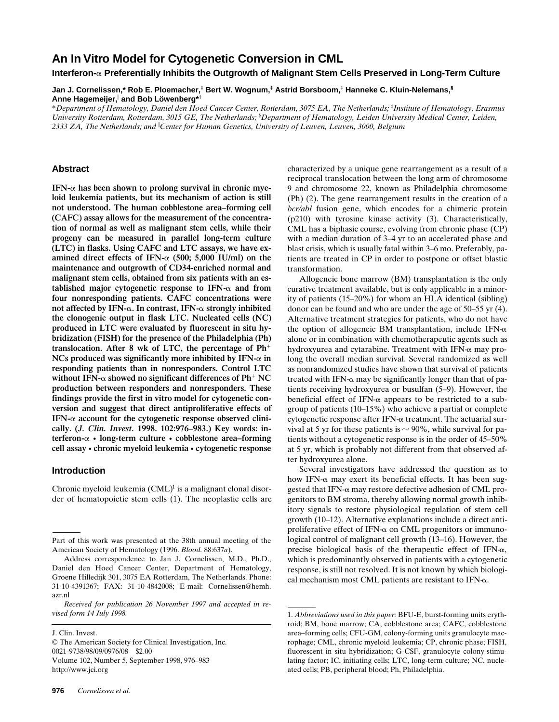# **An In Vitro Model for Cytogenetic Conversion in CML**

**Interferon-**a **Preferentially Inhibits the Outgrowth of Malignant Stem Cells Preserved in Long-Term Culture**

**Jan J. Cornelissen,\* Rob E. Ploemacher,‡ Bert W. Wognum,‡ Astrid Borsboom,‡ Hanneke C. Kluin-Nelemans,§ Anne Hagemeijer,**<sup>i</sup>  **and Bob Löwenberg\*‡**

\**Department of Hematology, Daniel den Hoed Cancer Center, Rotterdam, 3075 EA, The Netherlands;* ‡ *Institute of Hematology, Erasmus*  University Rotterdam, Rotterdam, 3015 GE, The Netherlands; <sup>§</sup>Department of Hematology, Leiden University Medical Center, Leiden, *2333 ZA, The Netherlands; and* <sup>i</sup> *Center for Human Genetics, University of Leuven, Leuven, 3000, Belgium*

### **Abstract**

 $IFN-\alpha$  has been shown to prolong survival in chronic mve**loid leukemia patients, but its mechanism of action is still not understood. The human cobblestone area–forming cell (CAFC) assay allows for the measurement of the concentration of normal as well as malignant stem cells, while their progeny can be measured in parallel long-term culture (LTC) in flasks. Using CAFC and LTC assays, we have examined direct effects of IFN-**a **(500; 5,000 IU/ml) on the maintenance and outgrowth of CD34-enriched normal and malignant stem cells, obtained from six patients with an established major cytogenetic response to IFN-**a **and from four nonresponding patients. CAFC concentrations were not affected by IFN-**a**. In contrast, IFN-**a **strongly inhibited the clonogenic output in flask LTC. Nucleated cells (NC) produced in LTC were evaluated by fluorescent in situ hybridization (FISH) for the presence of the Philadelphia (Ph)** translocation. After  $8$  wk of LTC, the percentage of  $Ph<sup>+</sup>$  $NCs$  produced was significantly more inhibited by IFN- $\alpha$  in **responding patients than in nonresponders. Control LTC** without IFN- $\alpha$  showed no significant differences of Ph<sup>+</sup> NC **production between responders and nonresponders. These findings provide the first in vitro model for cytogenetic conversion and suggest that direct antiproliferative effects of IFN-**a **account for the cytogenetic response observed clinically. (***J. Clin. Invest.* **1998. 102:976–983.) Key words: interferon-**a **• long-term culture • cobblestone area–forming cell assay • chronic myeloid leukemia • cytogenetic response**

## **Introduction**

Chronic myeloid leukemia  $(CML)^1$  is a malignant clonal disorder of hematopoietic stem cells (1). The neoplastic cells are

J. Clin. Invest.

characterized by a unique gene rearrangement as a result of a reciprocal translocation between the long arm of chromosome 9 and chromosome 22, known as Philadelphia chromosome (Ph) (2). The gene rearrangement results in the creation of a *bcr/abl* fusion gene, which encodes for a chimeric protein (p210) with tyrosine kinase activity (3). Characteristically, CML has a biphasic course, evolving from chronic phase (CP) with a median duration of 3–4 yr to an accelerated phase and blast crisis, which is usually fatal within 3–6 mo. Preferably, patients are treated in CP in order to postpone or offset blastic transformation.

Allogeneic bone marrow (BM) transplantation is the only curative treatment available, but is only applicable in a minority of patients (15–20%) for whom an HLA identical (sibling) donor can be found and who are under the age of 50–55 yr (4). Alternative treatment strategies for patients, who do not have the option of allogeneic BM transplantation, include IFN- $\alpha$ alone or in combination with chemotherapeutic agents such as hydroxyurea and cytarabine. Treatment with IFN- $\alpha$  may prolong the overall median survival. Several randomized as well as nonrandomized studies have shown that survival of patients treated with IFN- $\alpha$  may be significantly longer than that of patients receiving hydroxyurea or busulfan (5–9). However, the beneficial effect of IFN- $\alpha$  appears to be restricted to a subgroup of patients (10–15%) who achieve a partial or complete cytogenetic response after IFN- $\alpha$  treatment. The actuarial survival at 5 yr for these patients is  $\sim$  90%, while survival for patients without a cytogenetic response is in the order of 45–50% at 5 yr, which is probably not different from that observed after hydroxyurea alone.

Several investigators have addressed the question as to how IFN- $\alpha$  may exert its beneficial effects. It has been suggested that IFN- $\alpha$  may restore defective adhesion of CML progenitors to BM stroma, thereby allowing normal growth inhibitory signals to restore physiological regulation of stem cell growth (10–12). Alternative explanations include a direct antiproliferative effect of IFN- $\alpha$  on CML progenitors or immunological control of malignant cell growth (13–16). However, the precise biological basis of the therapeutic effect of IFN- $\alpha$ , which is predominantly observed in patients with a cytogenetic response, is still not resolved. It is not known by which biological mechanism most CML patients are resistant to IFN- $\alpha$ .

Part of this work was presented at the 38th annual meeting of the American Society of Hematology (1996. *Blood.* 88:637*a*).

Address correspondence to Jan J. Cornelissen, M.D., Ph.D., Daniel den Hoed Cancer Center, Department of Hematology, Groene Hilledijk 301, 3075 EA Rotterdam, The Netherlands. Phone: 31-10-4391367; FAX: 31-10-4842008; E-mail: Cornelissen@hemh. azr.nl

*Received for publication 26 November 1997 and accepted in revised form 14 July 1998.* 1. *Abbreviations used in this paper:* BFU-E, burst-forming units eryth-

<sup>©</sup> The American Society for Clinical Investigation, Inc. 0021-9738/98/09/0976/08 \$2.00 Volume 102, Number 5, September 1998, 976–983 http://www.jci.org

roid; BM, bone marrow; CA, cobblestone area; CAFC, cobblestone area–forming cells; CFU-GM, colony-forming units granulocyte macrophage; CML, chronic myeloid leukemia; CP, chronic phase; FISH, fluorescent in situ hybridization; G-CSF, granulocyte colony-stimulating factor; IC, initiating cells; LTC, long-term culture; NC, nucleated cells; PB, peripheral blood; Ph, Philadelphia.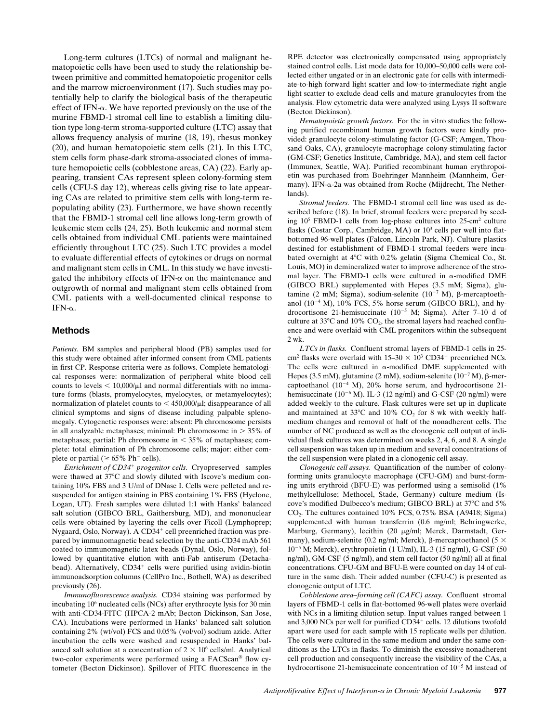Long-term cultures (LTCs) of normal and malignant hematopoietic cells have been used to study the relationship between primitive and committed hematopoietic progenitor cells and the marrow microenvironment (17). Such studies may potentially help to clarify the biological basis of the therapeutic effect of IFN- $\alpha$ . We have reported previously on the use of the murine FBMD-1 stromal cell line to establish a limiting dilution type long-term stroma-supported culture (LTC) assay that allows frequency analysis of murine (18, 19), rhesus monkey (20), and human hematopoietic stem cells (21). In this LTC, stem cells form phase-dark stroma-associated clones of immature hemopoietic cells (cobblestone areas, CA) (22). Early appearing, transient CAs represent spleen colony-forming stem cells (CFU-S day 12), whereas cells giving rise to late appearing CAs are related to primitive stem cells with long-term repopulating ability (23). Furthermore, we have shown recently that the FBMD-1 stromal cell line allows long-term growth of leukemic stem cells (24, 25). Both leukemic and normal stem cells obtained from individual CML patients were maintained efficiently throughout LTC (25). Such LTC provides a model to evaluate differential effects of cytokines or drugs on normal and malignant stem cells in CML. In this study we have investigated the inhibitory effects of IFN- $\alpha$  on the maintenance and outgrowth of normal and malignant stem cells obtained from CML patients with a well-documented clinical response to IFN- $\alpha$ .

## **Methods**

*Patients.* BM samples and peripheral blood (PB) samples used for this study were obtained after informed consent from CML patients in first CP. Response criteria were as follows. Complete hematological responses were: normalization of peripheral white blood cell counts to levels  $<$  10,000/ $\mu$ l and normal differentials with no immature forms (blasts, promyelocytes, myelocytes, or metamyelocytes); normalization of platelet counts to  $<$  450,000/ $\mu$ l; disappearance of all clinical symptoms and signs of disease including palpable splenomegaly. Cytogenetic responses were: absent: Ph chromosome persists in all analyzable metaphases; minimal: Ph chromosome in  $> 35\%$  of metaphases; partial: Ph chromosome in  $<$  35% of metaphases; complete: total elimination of Ph chromosome cells; major: either complete or partial ( $\geq 65\%$  Ph<sup>-</sup> cells).

*Enrichment of CD34*<sup>1</sup> *progenitor cells.* Cryopreserved samples were thawed at 37°C and slowly diluted with Iscove's medium containing 10% FBS and 3 U/ml of DNase I. Cells were pelleted and resuspended for antigen staining in PBS containing 1% FBS (Hyclone, Logan, UT). Fresh samples were diluted 1:1 with Hanks' balanced salt solution (GIBCO BRL, Gaithersburg, MD), and mononuclear cells were obtained by layering the cells over Ficoll (Lymphoprep; Nygaard, Oslo, Norway). A CD34<sup>+</sup> cell preenriched fraction was prepared by immunomagnetic bead selection by the anti-CD34 mAb 561 coated to immunomagnetic latex beads (Dynal, Oslo, Norway), followed by quantitative elution with anti-Fab antiserum (Detachabead). Alternatively, CD34<sup>+</sup> cells were purified using avidin-biotin immunoadsorption columns (CellPro Inc., Bothell, WA) as described previously (26).

*Immunofluorescence analysis.* CD34 staining was performed by incubating 106 nucleated cells (NCs) after erythrocyte lysis for 30 min with anti-CD34-FITC (HPCA-2 mAb; Becton Dickinson, San Jose, CA). Incubations were performed in Hanks' balanced salt solution containing 2% (wt/vol) FCS and 0.05% (vol/vol) sodium azide. After incubation the cells were washed and resuspended in Hanks' balanced salt solution at a concentration of  $2 \times 10^6$  cells/ml. Analytical two-color experiments were performed using a FACScan® flow cytometer (Becton Dickinson). Spillover of FITC fluorescence in the RPE detector was electronically compensated using appropriately stained control cells. List mode data for 10,000–50,000 cells were collected either ungated or in an electronic gate for cells with intermediate-to-high forward light scatter and low-to-intermediate right angle light scatter to exclude dead cells and mature granulocytes from the analysis. Flow cytometric data were analyzed using Lysys II software (Becton Dickinson).

*Hematopoietic growth factors.* For the in vitro studies the following purified recombinant human growth factors were kindly provided: granulocyte colony-stimulating factor (G-CSF; Amgen, Thousand Oaks, CA), granulocyte-macrophage colony-stimulating factor (GM-CSF; Genetics Institute, Cambridge, MA), and stem cell factor (Immunex, Seattle, WA). Purified recombinant human erythropoietin was purchased from Boehringer Mannheim (Mannheim, Germany). IFN-a-2a was obtained from Roche (Mijdrecht, The Netherlands).

*Stromal feeders.* The FBMD-1 stromal cell line was used as described before (18). In brief, stromal feeders were prepared by seeding 105 FBMD-1 cells from log-phase cultures into 25-cm2 culture flasks (Costar Corp., Cambridge, MA) or  $10<sup>3</sup>$  cells per well into flatbottomed 96-well plates (Falcon, Lincoln Park, NJ). Culture plastics destined for establishment of FBMD-1 stromal feeders were incubated overnight at  $4^{\circ}$ C with 0.2% gelatin (Sigma Chemical Co., St. Louis, MO) in demineralized water to improve adherence of the stromal layer. The FBMD-1 cells were cultured in  $\alpha$ -modified DME (GIBCO BRL) supplemented with Hepes (3.5 mM; Sigma), glutamine (2 mM; Sigma), sodium-selenite  $(10^{-7}$  M),  $\beta$ -mercaptoethanol  $(10^{-4}$  M), 10% FCS, 5% horse serum (GIBCO BRL), and hydrocortisone 21-hemisuccinate  $(10^{-5}$  M; Sigma). After 7–10 d of culture at  $33^{\circ}$ C and  $10\%$  CO<sub>2</sub>, the stromal layers had reached confluence and were overlaid with CML progenitors within the subsequent  $2 \text{ wk}$ 

*LTCs in flasks.* Confluent stromal layers of FBMD-1 cells in 25 cm<sup>2</sup> flasks were overlaid with  $15-30 \times 10^3$  CD34<sup>+</sup> preenriched NCs. The cells were cultured in  $\alpha$ -modified DME supplemented with Hepes (3.5 mM), glutamine (2 mM), sodium-selenite ( $10^{-7}$  M),  $\beta$ -mercaptoethanol  $(10^{-4}$  M), 20% horse serum, and hydrocortisone 21hemisuccinate  $(10^{-6}$  M). IL-3  $(12$  ng/ml) and G-CSF  $(20$  ng/ml) were added weekly to the culture. Flask cultures were set up in duplicate and maintained at  $33^{\circ}$ C and  $10\%$  CO<sub>2</sub> for 8 wk with weekly halfmedium changes and removal of half of the nonadherent cells. The number of NC produced as well as the clonogenic cell output of individual flask cultures was determined on weeks 2, 4, 6, and 8. A single cell suspension was taken up in medium and several concentrations of the cell suspension were plated in a clonogenic cell assay.

*Clonogenic cell assays.* Quantification of the number of colonyforming units granulocyte macrophage (CFU-GM) and burst-forming units erythroid (BFU-E) was performed using a semisolid (1% methylcellulose; Methocel, Stade, Germany) culture medium (Iscove's modified Dulbecco's medium; GIBCO BRL) at 37°C and 5%  $CO<sub>2</sub>$ . The cultures contained 10% FCS, 0.75% BSA (A9418; Sigma) supplemented with human transferrin (0.6 mg/ml; Behringwerke, Marburg, Germany), lecithin (20 µg/ml; Merck, Darmstadt, Germany), sodium-selenite (0.2 ng/ml; Merck),  $\beta$ -mercaptoethanol (5  $\times$ 10<sup>2</sup><sup>5</sup> M; Merck), erythropoietin (1 U/ml), IL-3 (15 ng/ml), G-CSF (50 ng/ml), GM-CSF (5 ng/ml), and stem cell factor (50 ng/ml) all at final concentrations. CFU-GM and BFU-E were counted on day 14 of culture in the same dish. Their added number (CFU-C) is presented as clonogenic output of LTC.

*Cobblestone area–forming cell (CAFC) assay.* Confluent stromal layers of FBMD-1 cells in flat-bottomed 96-well plates were overlaid with NCs in a limiting dilution setup. Input values ranged between 1 and 3,000 NCs per well for purified CD34<sup>+</sup> cells. 12 dilutions twofold apart were used for each sample with 15 replicate wells per dilution. The cells were cultured in the same medium and under the same conditions as the LTCs in flasks. To diminish the excessive nonadherent cell production and consequently increase the visibility of the CAs, a hydrocortisone 21-hemisuccinate concentration of  $10^{-5}$  M instead of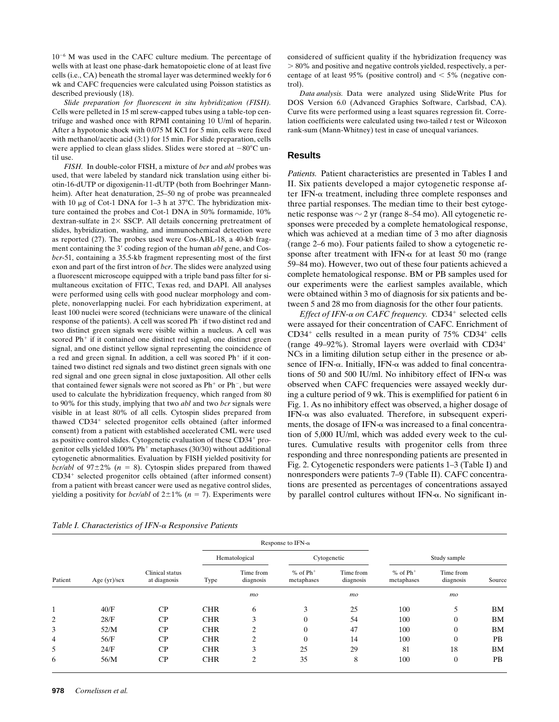$10^{-6}$  M was used in the CAFC culture medium. The percentage of wells with at least one phase-dark hematopoietic clone of at least five cells (i.e., CA) beneath the stromal layer was determined weekly for 6 wk and CAFC frequencies were calculated using Poisson statistics as described previously (18).

*Slide preparation for fluorescent in situ hybridization (FISH).* Cells were pelleted in 15 ml screw-capped tubes using a table-top centrifuge and washed once with RPMI containing 10 U/ml of heparin. After a hypotonic shock with 0.075 M KCl for 5 min, cells were fixed with methanol/acetic acid (3:1) for 15 min. For slide preparation, cells were applied to clean glass slides. Slides were stored at  $-80^{\circ}$ C until use.

*FISH.* In double-color FISH, a mixture of *bcr* and *abl* probes was used, that were labeled by standard nick translation using either biotin-16-dUTP or digoxigenin-11-dUTP (both from Boehringer Mannheim). After heat denaturation, 25–50 ng of probe was preannealed with 10  $\mu$ g of Cot-1 DNA for 1–3 h at 37°C. The hybridization mixture contained the probes and Cot-1 DNA in 50% formamide, 10% dextran-sulfate in  $2 \times$  SSCP. All details concerning pretreatment of slides, hybridization, washing, and immunochemical detection were as reported (27). The probes used were Cos-ABL-18, a 40-kb fragment containing the 3' coding region of the human *abl* gene, and Cos*bcr*-51, containing a 35.5-kb fragment representing most of the first exon and part of the first intron of *bcr*. The slides were analyzed using a fluorescent microscope equipped with a triple band pass filter for simultaneous excitation of FITC, Texas red, and DAPI. All analyses were performed using cells with good nuclear morphology and complete, nonoverlapping nuclei. For each hybridization experiment, at least 100 nuclei were scored (technicians were unaware of the clinical response of the patients). A cell was scored Ph<sup>-</sup> if two distinct red and two distinct green signals were visible within a nucleus. A cell was scored  $Ph<sup>+</sup>$  if it contained one distinct red signal, one distinct green signal, and one distinct yellow signal representing the coincidence of a red and green signal. In addition, a cell was scored  $Ph<sup>+</sup>$  if it contained two distinct red signals and two distinct green signals with one red signal and one green signal in close juxtaposition. All other cells that contained fewer signals were not scored as  $Ph<sup>+</sup>$  or  $Ph<sup>-</sup>$ , but were used to calculate the hybridization frequency, which ranged from 80 to 90% for this study, implying that two *abl* and two *bcr* signals were visible in at least 80% of all cells. Cytospin slides prepared from thawed CD34<sup>+</sup> selected progenitor cells obtained (after informed consent) from a patient with established accelerated CML were used as positive control slides. Cytogenetic evaluation of these CD34<sup>+</sup> progenitor cells yielded 100%  $Ph$ <sup>+</sup> metaphases (30/30) without additional cytogenetic abnormalities. Evaluation by FISH yielded positivity for *bcr/abl* of  $97\pm2\%$  ( $n = 8$ ). Cytospin slides prepared from thawed CD34<sup>+</sup> selected progenitor cells obtained (after informed consent) from a patient with breast cancer were used as negative control slides, yielding a positivity for *bcr/abl* of  $2\pm 1\%$  (*n* = 7). Experiments were considered of sufficient quality if the hybridization frequency was . 80% and positive and negative controls yielded, respectively, a percentage of at least 95% (positive control) and  $\lt$  5% (negative control).

*Data analysis.* Data were analyzed using SlideWrite Plus for DOS Version 6.0 (Advanced Graphics Software, Carlsbad, CA). Curve fits were performed using a least squares regression fit. Correlation coefficients were calculated using two-tailed *t* test or Wilcoxon rank-sum (Mann-Whitney) test in case of unequal variances.

## **Results**

*Patients.* Patient characteristics are presented in Tables I and II. Six patients developed a major cytogenetic response after IFN- $\alpha$  treatment, including three complete responses and three partial responses. The median time to their best cytogenetic response was  $\sim$  2 yr (range 8–54 mo). All cytogenetic responses were preceded by a complete hematological response, which was achieved at a median time of 3 mo after diagnosis (range 2–6 mo). Four patients failed to show a cytogenetic response after treatment with IFN- $\alpha$  for at least 50 mo (range 59–84 mo). However, two out of these four patients achieved a complete hematological response. BM or PB samples used for our experiments were the earliest samples available, which were obtained within 3 mo of diagnosis for six patients and between 5 and 28 mo from diagnosis for the other four patients.

*Effect of IFN-* $\alpha$  *on CAFC frequency.* CD34<sup>+</sup> selected cells were assayed for their concentration of CAFC. Enrichment of  $CD34<sup>+</sup>$  cells resulted in a mean purity of 75%  $CD34<sup>+</sup>$  cells (range  $49-92\%$ ). Stromal layers were overlaid with CD34<sup>+</sup> NCs in a limiting dilution setup either in the presence or absence of IFN- $\alpha$ . Initially, IFN- $\alpha$  was added to final concentrations of 50 and 500 IU/ml. No inhibitory effect of IFN- $\alpha$  was observed when CAFC frequencies were assayed weekly during a culture period of 9 wk. This is exemplified for patient 6 in Fig. 1. As no inhibitory effect was observed, a higher dosage of IFN- $\alpha$  was also evaluated. Therefore, in subsequent experiments, the dosage of IFN- $\alpha$  was increased to a final concentration of 5,000 IU/ml, which was added every week to the cultures. Cumulative results with progenitor cells from three responding and three nonresponding patients are presented in Fig. 2. Cytogenetic responders were patients 1–3 (Table I) and nonresponders were patients 7–9 (Table II). CAFC concentrations are presented as percentages of concentrations assayed by parallel control cultures without IFN- $\alpha$ . No significant in-

*Table I. Characteristics of IFN-*a *Responsive Patients*

| Patient |                | Clinical status<br>at diagnosis | Response to IFN- $\alpha$ |                        |                                        |                        |                                        |                        |           |
|---------|----------------|---------------------------------|---------------------------|------------------------|----------------------------------------|------------------------|----------------------------------------|------------------------|-----------|
|         | Age $(yr)/sex$ |                                 | Hematological             |                        | Cytogenetic                            |                        | Study sample                           |                        |           |
|         |                |                                 | Type                      | Time from<br>diagnosis | $%$ of $Ph$ <sup>+</sup><br>metaphases | Time from<br>diagnosis | $%$ of $Ph$ <sup>+</sup><br>metaphases | Time from<br>diagnosis | Source    |
|         |                |                                 |                           | mo                     |                                        | mo                     |                                        | mo                     |           |
|         | 40/F           | CP                              | <b>CHR</b>                | 6                      | 3                                      | 25                     | 100                                    | 5                      | BM        |
| 2       | 28/F           | $\rm CP$                        | <b>CHR</b>                | 3                      | $\overline{0}$                         | 54                     | 100                                    | $\mathbf{0}$           | <b>BM</b> |
| 3       | 52/M           | $\rm CP$                        | <b>CHR</b>                | ◠                      | $\overline{0}$                         | 47                     | 100                                    | $\mathbf{0}$           | BM        |
| 4       | 56/F           | CP                              | <b>CHR</b>                | $\bigcap$              | $\theta$                               | 14                     | 100                                    | $\overline{0}$         | PB        |
| 5       | 24/F           | CP                              | <b>CHR</b>                | 3                      | 25                                     | 29                     | 81                                     | 18                     | <b>BM</b> |
| 6       | 56/M           | CP                              | <b>CHR</b>                | ↑                      | 35                                     | 8                      | 100                                    | $\overline{0}$         | PB        |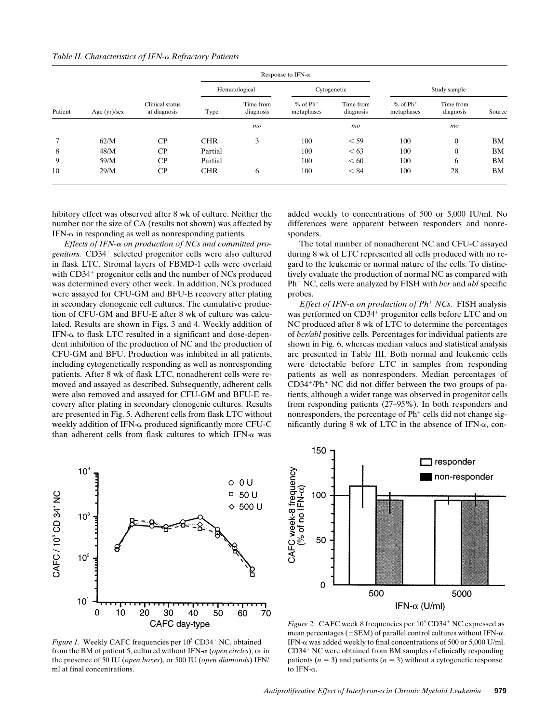| Table II. Characteristics of IFN-a Refractory Patients |  |  |
|--------------------------------------------------------|--|--|
|                                                        |  |  |

| Patient | Age $(yr)/sex$ | Clinical status<br>at diagnosis |               | Response to IFN- $\alpha$ |                                        |                        |                                        |                        |           |
|---------|----------------|---------------------------------|---------------|---------------------------|----------------------------------------|------------------------|----------------------------------------|------------------------|-----------|
|         |                |                                 | Hematological |                           | Cytogenetic                            |                        | Study sample                           |                        |           |
|         |                |                                 | Type          | Time from<br>diagnosis    | $%$ of $Ph$ <sup>+</sup><br>metaphases | Time from<br>diagnosis | $%$ of $Ph$ <sup>+</sup><br>metaphases | Time from<br>diagnosis | Source    |
|         |                |                                 |               | mo                        |                                        | mo                     |                                        | mo                     |           |
|         | 62/M           | $\rm CP$                        | <b>CHR</b>    | 3                         | 100                                    | $<$ 59                 | 100                                    | $\overline{0}$         | BM        |
| 8       | 48/M           | CP                              | Partial       |                           | 100                                    | <63                    | 100                                    | $\overline{0}$         | BM        |
| 9       | 59/M           | CP                              | Partial       |                           | 100                                    | < 60                   | 100                                    | 6                      | <b>BM</b> |
| 10      | 29/M           | CP                              | <b>CHR</b>    | 6                         | 100                                    | < 84                   | 100                                    | 28                     | <b>BM</b> |

hibitory effect was observed after 8 wk of culture. Neither the number nor the size of CA (results not shown) was affected by  $IFN-\alpha$  in responding as well as nonresponding patients.

*Effects of IFN-*a *on production of NCs and committed progenitors.* CD34<sup>+</sup> selected progenitor cells were also cultured in flask LTC. Stromal layers of FBMD-1 cells were overlaid with  $CD34<sup>+</sup>$  progenitor cells and the number of NCs produced was determined every other week. In addition, NCs produced were assayed for CFU-GM and BFU-E recovery after plating in secondary clonogenic cell cultures. The cumulative production of CFU-GM and BFU-E after 8 wk of culture was calculated. Results are shown in Figs. 3 and 4. Weekly addition of IFN- $\alpha$  to flask LTC resulted in a significant and dose-dependent inhibition of the production of NC and the production of CFU-GM and BFU. Production was inhibited in all patients, including cytogenetically responding as well as nonresponding patients. After 8 wk of flask LTC, nonadherent cells were removed and assayed as described. Subsequently, adherent cells were also removed and assayed for CFU-GM and BFU-E recovery after plating in secondary clonogenic cultures. Results are presented in Fig. 5. Adherent cells from flask LTC without weekly addition of IFN-a produced significantly more CFU-C than adherent cells from flask cultures to which IFN- $\alpha$  was

added weekly to concentrations of 500 or 5,000 IU/ml. No differences were apparent between responders and nonresponders.

The total number of nonadherent NC and CFU-C assayed during 8 wk of LTC represented all cells produced with no regard to the leukemic or normal nature of the cells. To distinctively evaluate the production of normal NC as compared with Ph<sup>+</sup> NC, cells were analyzed by FISH with *bcr* and *abl* specific probes.

*Effect of IFN-* $\alpha$  *on production of Ph<sup>+</sup> NCs.* FISH analysis was performed on CD34<sup>+</sup> progenitor cells before LTC and on NC produced after 8 wk of LTC to determine the percentages of *bcr/abl* positive cells. Percentages for individual patients are shown in Fig. 6, whereas median values and statistical analysis are presented in Table III. Both normal and leukemic cells were detectable before LTC in samples from responding patients as well as nonresponders. Median percentages of  $CD34+/Ph+NC$  did not differ between the two groups of patients, although a wider range was observed in progenitor cells from responding patients (27–95%). In both responders and nonresponders, the percentage of  $Ph<sup>+</sup>$  cells did not change significantly during 8 wk of LTC in the absence of IFN- $\alpha$ , con-



Figure 1. Weekly CAFC frequencies per 10<sup>5</sup> CD34<sup>+</sup> NC, obtained from the BM of patient 5, cultured without IFN-a (*open circles*), or in the presence of 50 IU (*open boxes*), or 500 IU (*open diamonds*) IFN/ ml at final concentrations.



Figure 2. CAFC week 8 frequencies per  $10^5$  CD34<sup>+</sup> NC expressed as mean percentages ( $\pm$ SEM) of parallel control cultures without IFN- $\alpha$ . IFN- $\alpha$  was added weekly to final concentrations of 500 or 5,000 U/ml. CD34<sup>+</sup> NC were obtained from BM samples of clinically responding patients  $(n = 3)$  and patients  $(n = 3)$  without a cytogenetic response to IFN- $\alpha$ .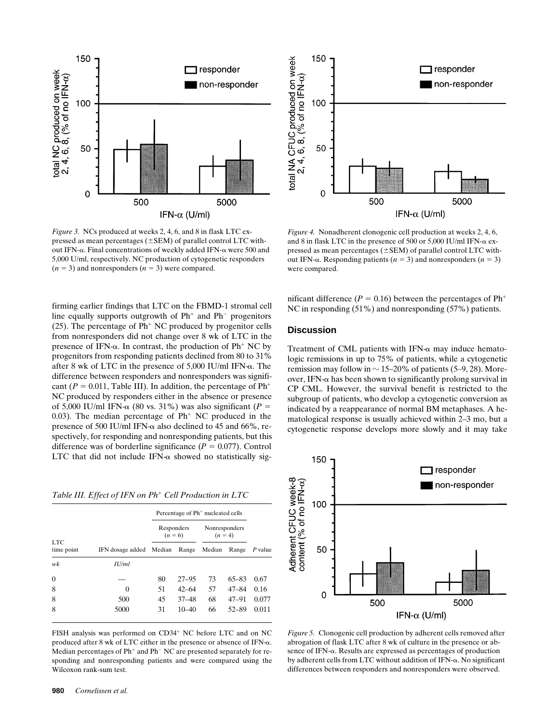

*Figure 3.* NCs produced at weeks 2, 4, 6, and 8 in flask LTC expressed as mean percentages ( $\pm$ SEM) of parallel control LTC without IFN- $\alpha$ . Final concentrations of weekly added IFN- $\alpha$  were 500 and 5,000 U/ml, respectively. NC production of cytogenetic responders  $(n = 3)$  and nonresponders  $(n = 3)$  were compared.

firming earlier findings that LTC on the FBMD-1 stromal cell line equally supports outgrowth of  $Ph<sup>+</sup>$  and  $Ph<sup>-</sup>$  progenitors (25). The percentage of  $Ph+NC$  produced by progenitor cells from nonresponders did not change over 8 wk of LTC in the presence of IFN- $\alpha$ . In contrast, the production of Ph<sup>+</sup> NC by progenitors from responding patients declined from 80 to 31% after 8 wk of LTC in the presence of  $5,000$  IU/ml IFN- $\alpha$ . The difference between responders and nonresponders was significant ( $P = 0.011$ , Table III). In addition, the percentage of Ph<sup>+</sup> NC produced by responders either in the absence or presence of 5,000 IU/ml IFN- $\alpha$  (80 vs. 31%) was also significant ( $P =$ 0.03). The median percentage of  $Ph<sup>+</sup> NC$  produced in the presence of 500 IU/ml IFN- $\alpha$  also declined to 45 and 66%, respectively, for responding and nonresponding patients, but this difference was of borderline significance ( $P = 0.077$ ). Control LTC that did not include IFN- $\alpha$  showed no statistically sig-

*Table III. Effect of IFN on Ph<sup>+</sup> Cell Production in LTC* 

|                    |                     |                         | Percentage of Ph <sup>+</sup> nucleated cells |                            |           |         |  |
|--------------------|---------------------|-------------------------|-----------------------------------------------|----------------------------|-----------|---------|--|
|                    |                     | Responders<br>$(n = 6)$ |                                               | Nonresponders<br>$(n = 4)$ |           |         |  |
| LTC.<br>time point | IFN dosage added    | Median                  | Range                                         | Median                     | Range     | P value |  |
| wk                 | $I\bar{I}/m\bar{I}$ |                         |                                               |                            |           |         |  |
| $\overline{0}$     |                     | 80                      | $27 - 95$                                     | 73                         | $65 - 83$ | 0.67    |  |
| 8                  | $\Omega$            | 51                      | $42 - 64$                                     | 57                         | $47 - 84$ | 0.16    |  |
| 8                  | 500                 | 45                      | $37 - 48$                                     | 68                         | $47 - 91$ | 0.077   |  |
| 8                  | 5000                | 31                      | $10 - 40$                                     | 66                         | $52 - 89$ | 0.011   |  |

FISH analysis was performed on CD34<sup>+</sup> NC before LTC and on NC produced after 8 wk of LTC either in the presence or absence of IFN-a. Median percentages of  $Ph^+$  and  $Ph^-$  NC are presented separately for responding and nonresponding patients and were compared using the Wilcoxon rank-sum test.



*Figure 4.* Nonadherent clonogenic cell production at weeks 2, 4, 6, and 8 in flask LTC in the presence of 500 or 5,000 IU/ml IFN-a expressed as mean percentages ( $\pm$ SEM) of parallel control LTC without IFN- $\alpha$ . Responding patients ( $n = 3$ ) and nonresponders ( $n = 3$ ) were compared.

nificant difference ( $P = 0.16$ ) between the percentages of  $Ph<sup>+</sup>$ NC in responding (51%) and nonresponding (57%) patients.

# **Discussion**

Treatment of CML patients with IFN- $\alpha$  may induce hematologic remissions in up to 75% of patients, while a cytogenetic remission may follow in  $\sim$  15–20% of patients (5–9, 28). Moreover, IFN- $\alpha$  has been shown to significantly prolong survival in CP CML. However, the survival benefit is restricted to the subgroup of patients, who develop a cytogenetic conversion as indicated by a reappearance of normal BM metaphases. A hematological response is usually achieved within 2–3 mo, but a cytogenetic response develops more slowly and it may take



*Figure 5.* Clonogenic cell production by adherent cells removed after abrogation of flask LTC after 8 wk of culture in the presence or absence of IFN-a. Results are expressed as percentages of production by adherent cells from LTC without addition of IFN- $\alpha$ . No significant differences between responders and nonresponders were observed.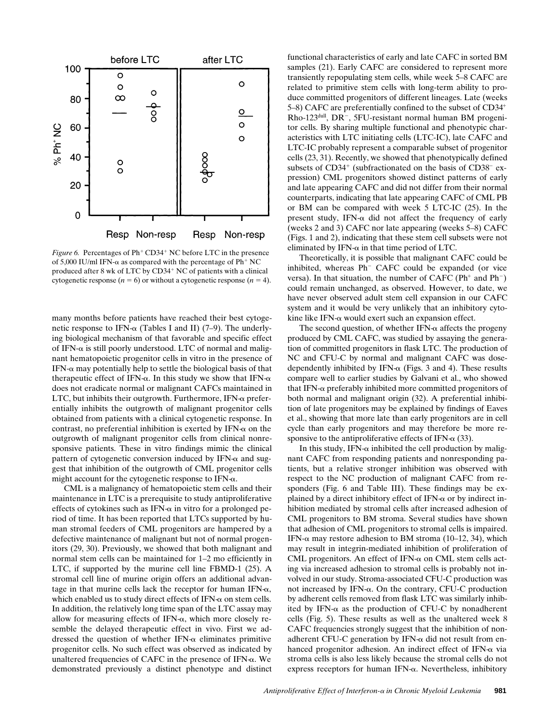

*Figure 6.* Percentages of  $Ph^+CD34^+$  NC before LTC in the presence of 5,000 IU/ml IFN- $\alpha$  as compared with the percentage of Ph<sup>+</sup> NC produced after 8 wk of LTC by  $CD34<sup>+</sup>$  NC of patients with a clinical cytogenetic response  $(n = 6)$  or without a cytogenetic response  $(n = 4)$ .

many months before patients have reached their best cytogenetic response to IFN- $\alpha$  (Tables I and II) (7–9). The underlying biological mechanism of that favorable and specific effect of IFN- $\alpha$  is still poorly understood. LTC of normal and malignant hematopoietic progenitor cells in vitro in the presence of  $IFN-\alpha$  may potentially help to settle the biological basis of that therapeutic effect of IFN- $\alpha$ . In this study we show that IFN- $\alpha$ does not eradicate normal or malignant CAFCs maintained in LTC, but inhibits their outgrowth. Furthermore, IFN- $\alpha$  preferentially inhibits the outgrowth of malignant progenitor cells obtained from patients with a clinical cytogenetic response. In contrast, no preferential inhibition is exerted by IFN- $\alpha$  on the outgrowth of malignant progenitor cells from clinical nonresponsive patients. These in vitro findings mimic the clinical pattern of cytogenetic conversion induced by IFN- $\alpha$  and suggest that inhibition of the outgrowth of CML progenitor cells might account for the cytogenetic response to  $IFN-\alpha$ .

CML is a malignancy of hematopoietic stem cells and their maintenance in LTC is a prerequisite to study antiproliferative effects of cytokines such as IFN- $\alpha$  in vitro for a prolonged period of time. It has been reported that LTCs supported by human stromal feeders of CML progenitors are hampered by a defective maintenance of malignant but not of normal progenitors (29, 30). Previously, we showed that both malignant and normal stem cells can be maintained for 1–2 mo efficiently in LTC, if supported by the murine cell line FBMD-1 (25). A stromal cell line of murine origin offers an additional advantage in that murine cells lack the receptor for human IFN- $\alpha$ , which enabled us to study direct effects of  $IFN_{\alpha}$  on stem cells. In addition, the relatively long time span of the LTC assay may allow for measuring effects of IFN- $\alpha$ , which more closely resemble the delayed therapeutic effect in vivo. First we addressed the question of whether IFN- $\alpha$  eliminates primitive progenitor cells. No such effect was observed as indicated by unaltered frequencies of CAFC in the presence of IFN- $\alpha$ . We demonstrated previously a distinct phenotype and distinct

functional characteristics of early and late CAFC in sorted BM samples (21). Early CAFC are considered to represent more transiently repopulating stem cells, while week 5–8 CAFC are related to primitive stem cells with long-term ability to produce committed progenitors of different lineages. Late (weeks 5–8) CAFC are preferentially confined to the subset of CD34<sup>+</sup> Rho-123<sup>dull</sup>, DR<sup>-</sup>, 5FU-resistant normal human BM progenitor cells. By sharing multiple functional and phenotypic characteristics with LTC initiating cells (LTC-IC), late CAFC and LTC-IC probably represent a comparable subset of progenitor cells (23, 31). Recently, we showed that phenotypically defined subsets of  $CD34<sup>+</sup>$  (subfractionated on the basis of  $CD38<sup>-</sup>$  expression) CML progenitors showed distinct patterns of early and late appearing CAFC and did not differ from their normal counterparts, indicating that late appearing CAFC of CML PB or BM can be compared with week 5 LTC-IC (25). In the present study, IFN- $\alpha$  did not affect the frequency of early (weeks 2 and 3) CAFC nor late appearing (weeks 5–8) CAFC (Figs. 1 and 2), indicating that these stem cell subsets were not eliminated by IFN- $\alpha$  in that time period of LTC.

Theoretically, it is possible that malignant CAFC could be inhibited, whereas Ph<sup>-</sup> CAFC could be expanded (or vice versa). In that situation, the number of CAFC ( $Ph$ <sup>+</sup> and  $Ph$ <sup>-</sup>) could remain unchanged, as observed. However, to date, we have never observed adult stem cell expansion in our CAFC system and it would be very unlikely that an inhibitory cytokine like IFN- $\alpha$  would exert such an expansion effect.

The second question, of whether  $IFN-\alpha$  affects the progeny produced by CML CAFC, was studied by assaying the generation of committed progenitors in flask LTC. The production of NC and CFU-C by normal and malignant CAFC was dosedependently inhibited by IFN- $\alpha$  (Figs. 3 and 4). These results compare well to earlier studies by Galvani et al., who showed that IFN- $\alpha$  preferably inhibited more committed progenitors of both normal and malignant origin (32). A preferential inhibition of late progenitors may be explained by findings of Eaves et al., showing that more late than early progenitors are in cell cycle than early progenitors and may therefore be more responsive to the antiproliferative effects of IFN- $\alpha$  (33).

In this study, IFN- $\alpha$  inhibited the cell production by malignant CAFC from responding patients and nonresponding patients, but a relative stronger inhibition was observed with respect to the NC production of malignant CAFC from responders (Fig. 6 and Table III). These findings may be explained by a direct inhibitory effect of IFN- $\alpha$  or by indirect inhibition mediated by stromal cells after increased adhesion of CML progenitors to BM stroma. Several studies have shown that adhesion of CML progenitors to stromal cells is impaired. IFN- $\alpha$  may restore adhesion to BM stroma (10–12, 34), which may result in integrin-mediated inhibition of proliferation of CML progenitors. An effect of IFN- $\alpha$  on CML stem cells acting via increased adhesion to stromal cells is probably not involved in our study. Stroma-associated CFU-C production was not increased by IFN- $\alpha$ . On the contrary, CFU-C production by adherent cells removed from flask LTC was similarly inhibited by IFN- $\alpha$  as the production of CFU-C by nonadherent cells (Fig. 5). These results as well as the unaltered week 8 CAFC frequencies strongly suggest that the inhibition of nonadherent CFU-C generation by IFN- $\alpha$  did not result from enhanced progenitor adhesion. An indirect effect of IFN- $\alpha$  via stroma cells is also less likely because the stromal cells do not express receptors for human IFN- $\alpha$ . Nevertheless, inhibitory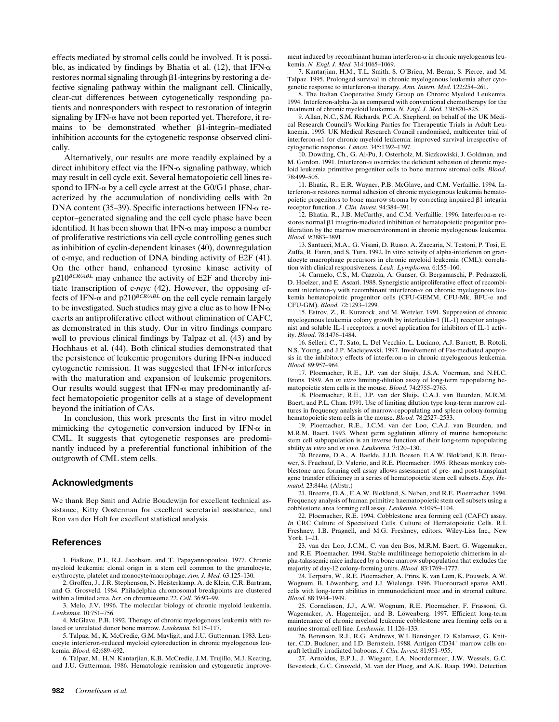effects mediated by stromal cells could be involved. It is possible, as indicated by findings by Bhatia et al. (12), that IFN- $\alpha$  $r$ estores normal signaling through  $\beta$ 1-integrins by restoring a defective signaling pathway within the malignant cell. Clinically, clear-cut differences between cytogenetically responding patients and nonresponders with respect to restoration of integrin signaling by IFN- $\alpha$  have not been reported yet. Therefore, it remains to be demonstrated whether  $\beta$ 1-integrin–mediated inhibition accounts for the cytogenetic response observed clinically.

Alternatively, our results are more readily explained by a direct inhibitory effect via the IFN- $\alpha$  signaling pathway, which may result in cell cycle exit. Several hematopoietic cell lines respond to IFN- $\alpha$  by a cell cycle arrest at the G0/G1 phase, characterized by the accumulation of nondividing cells with 2n DNA content (35–39). Specific interactions between IFN- $\alpha$  receptor–generated signaling and the cell cycle phase have been identified. It has been shown that  $IFN-\alpha$  may impose a number of proliferative restrictions via cell cycle controlling genes such as inhibition of cyclin-dependent kinases (40), downregulation of c-myc, and reduction of DNA binding activity of E2F (41). On the other hand, enhanced tyrosine kinase activity of p210*BCR/ABL* may enhance the activity of E2F and thereby initiate transcription of c-*myc* (42). However, the opposing effects of IFN- $\alpha$  and p210<sup>BCR/ABL</sup> on the cell cycle remain largely to be investigated. Such studies may give a clue as to how IFN- $\alpha$ exerts an antiproliferative effect without elimination of CAFC, as demonstrated in this study. Our in vitro findings compare well to previous clinical findings by Talpaz et al. (43) and by Hochhaus et al. (44). Both clinical studies demonstrated that the persistence of leukemic progenitors during IFN- $\alpha$  induced cytogenetic remission. It was suggested that IFN- $\alpha$  interferes with the maturation and expansion of leukemic progenitors. Our results would suggest that IFN- $\alpha$  may predominantly affect hematopoietic progenitor cells at a stage of development beyond the initiation of CAs.

In conclusion, this work presents the first in vitro model mimicking the cytogenetic conversion induced by IFN- $\alpha$  in CML. It suggests that cytogenetic responses are predominantly induced by a preferential functional inhibition of the outgrowth of CML stem cells.

#### **Acknowledgments**

We thank Bep Smit and Adrie Boudewijn for excellent technical assistance, Kitty Oosterman for excellent secretarial assistance, and Ron van der Holt for excellent statistical analysis.

#### **References**

1. Fialkow, P.J., R.J. Jacobson, and T. Papayannopoulou. 1977. Chronic myeloid leukemia: clonal origin in a stem cell common to the granulocyte, erythrocyte, platelet and monocyte/macrophage. *Am. J. Med.* 63:125–130.

2. Groffen, J., J.R. Stephenson, N. Heisterkamp, A. de Klein, C.R. Bartram, and G. Grosveld. 1984. Philadelphia chromosomal breakpoints are clustered within a limited area, *bcr*, on chromosome 22. *Cell.* 36:93–99.

3. Melo, J.V. 1996. The molecular biology of chronic myeloid leukemia. *Leukemia.* 10:751–756.

4. McGlave, P.B. 1992. Therapy of chronic myelogenous leukemia with related or unrelated donor bone marrow. *Leukemia.* 6:115–117.

5. Talpaz, M., K. McCredie, G.M. Mavligit, and J.U. Gutterman. 1983. Leucocyte interferon-reduced myeloid cytoreduction in chronic myelogenous leukemia. *Blood.* 62:689–692.

6. Talpaz, M., H.N. Kantarjian, K.B. McCredie, J.M. Trujillo, M.J. Keating, and J.U. Gutterman. 1986. Hematologic remission and cytogenetic improvement induced by recombinant human interferon- $\alpha$  in chronic myelogenous leukemia. *N. Engl. J. Med.* 314:1065–1069.

7. Kantarjian, H.M., T.L. Smith, S. O'Brien, M. Beran, S. Pierce, and M. Talpaz. 1995. Prolonged survival in chronic myelogenous leukemia after cytogenetic response to interferon-a therapy. *Ann. Intern. Med.* 122:254–261.

8. The Italian Cooperative Study Group on Chronic Myeloid Leukemia. 1994. Interferon-alpha-2a as compared with conventional chemotherapy for the treatment of chronic myeloid leukemia. *N. Engl. J. Med.* 330:820–825.

9. Allan, N.C., S.M. Richards, P.C.A. Shepherd, on behalf of the UK Medical Research Council's Working Parties for Therapeutic Trials in Adult Leukaemia. 1995. UK Medical Research Council randomised, multicenter trial of interferon- $\alpha$ 1 for chronic myeloid leukemia: improved survival irrespective of cytogenetic response. *Lancet.* 345:1392–1397.

10. Dowding, Ch., G. Ai-Pu, J. Osterholz, M. Siczkowiski, J. Goldman, and M. Gordon. 1991. Interferon- $\alpha$  overrides the deficient adhesion of chronic myeloid leukemia primitive progenitor cells to bone marrow stromal cells. *Blood.* 78:499–505.

11. Bhatia, R., E.R. Wayner, P.B. McGlave, and C.M. Verfaillie. 1994. Interferon-a restores normal adhesion of chronic myelogenous leukemia hematopoietic progenitors to bone marrow stroma by correcting impaired  $\beta$ 1 integrin receptor function. *J. Clin. Invest.* 94:384–391.

12. Bhatia, R., J.B. McCarthy, and C.M. Verfaillie. 1996. Interferon-a restores normal  $\beta$ 1 integrin-mediated inhibition of hematopoietic progenitor proliferation by the marrow microenvironment in chronic myelogenous leukemia. *Blood.* 9:3883–3891.

13. Santucci, M.A., G. Visani, D. Russo, A. Zaccaria, N. Testoni, P. Tosi, E. Zuffa, R. Fanin, and S. Tura. 1992. In vitro activity of alpha-interferon on granulocyte macrophage precursors in chronic myeloid leukemia (CML): correlation with clinical responsiveness. *Leuk. Lymphoma.* 6:155–160.

14. Carmelo, C.S., M. Cazzola, A. Ganser, G. Bergamaschi, P. Pedrazzoli, D. Hoelzer, and E. Ascari. 1988. Synergistic antiproliferative effect of recombinant interferon- $\gamma$  with recombinant interferon- $\alpha$  on chronic myelogenous leukemia hematopoietic progenitor cells (CFU-GEMM, CFU-Mk, BFU-e and CFU-GM). *Blood.* 72:1293–1299.

15. Estrov, Z., R. Kurzrock, and M. Wetzler. 1991. Suppression of chronic myelogenous leukemia colony growth by interleukin-1 (IL-1) receptor antagonist and soluble IL-1 receptors: a novel application for inhibitors of IL-1 activity. *Blood.* 78:1476–1484.

16. Selleri, C., T. Sato, L. Del Vecchio, L. Luciano, A.J. Barrett, B. Rotoli, N.S. Young, and J.P. Maciejewski. 1997. Involvement of Fas-mediated apoptosis in the inhibitory effects of interferon- $\alpha$  in chronic myelogenous leukemia. *Blood.* 89:957–964.

17. Ploemacher, R.E., J.P. van der Sluijs, J.S.A. Voerman, and N.H.C. Brons. 1989. An *in vitro* limiting-dilution assay of long-term repopulating hematopoietic stem cells in the mouse. *Blood.* 74:2755–2763.

18. Ploemacher, R.E., J.P. van der Sluijs, C.A.J. van Beurden, M.R.M. Baert, and P.L. Chan. 1991. Use of limiting dilution type long-term marrow cultures in frequency analysis of marrow-repopulating and spleen colony-forming hematopoietic stem cells in the mouse. *Blood.* 78:2527–2533.

19. Ploemacher, R.E., J.C.M. van der Loo, C.A.J. van Beurden, and M.R.M. Baert. 1993. Wheat germ agglutinin affinity of murine hemopoietic stem cell subpopulation is an inverse function of their long-term repopulating ability *in vitro* and *in vivo*. *Leukemia.* 7:120–130.

20. Breems, D.A., A. Baelde, J.J.B. Boesen, E.A.W. Blokland, K.B. Brouwer, S. Fruehauf, D. Valerio, and R.E. Ploemacher. 1995. Rhesus monkey cobblestone area forming cell assay allows assessment of pre- and post-transplant gene transfer efficiency in a series of hematopoietic stem cell subsets. *Exp. Hematol.* 23:844*a*. (Abstr.)

21. Breems, D.A., E.A.W. Blokland, S. Neben, and R.E. Ploemacher. 1994. Frequency analysis of human primitive haematopoietic stem cell subsets using a cobblestone area forming cell assay. *Leukemia.* 8:1095–1104.

22. Ploemacher, R.E. 1994. Cobblestone area forming cell (CAFC) assay. *In* CRC Culture of Specialized Cells. Culture of Hematopoietic Cells. R.I. Freshney, I.B. Pragnell, and M.G. Freshney, editors. Wiley-Liss Inc., New York. 1–21.

23. van der Loo, J.C.M., C. van den Bos, M.R.M. Baert, G. Wagemaker, and R.E. Ploemacher. 1994. Stable multilineage hemopoietic chimerism in alpha-talassemic mice induced by a bone marrow subpopulation that excludes the majority of day-12 colony-forming units. *Blood.* 83:1769–1777.

24. Terpstra, W., R.E. Ploemacher, A. Prins, K. van Lom, K. Pouwels, A.W. Wognum, B. Löwenberg, and J.J. Wielenga. 1996. Fluorouracil spares AML cells with long-term abilities in immunodeficient mice and in stromal culture. *Blood.* 88:1944–1949.

25. Cornelissen, J.J., A.W. Wognum, R.E. Ploemacher, F. Frassoni, G. Wagemaker, A. Hagemeijer, and B. Löwenberg. 1997. Efficient long-term maintenance of chronic myeloid leukemic cobblestone area forming cells on a murine stromal cell line. *Leukemia.* 11:126–133.

26. Berenson, R.J., R.G. Andrews, W.I. Bensinger, D. Kalamasz, G. Knitter, C.D. Buckner, and I.D. Bernstein. 1988. Antigen CD34<sup>+</sup> marrow cells engraft lethally irradiated baboons. *J. Clin. Invest.* 81:951–955.

27. Arnoldus, E.P.J., J. Wiegant, I.A. Noordermeer, J.W. Wessels, G.C. Bevestock, G.C. Grosveld, M. van der Ploeg, and A.K. Raap. 1990. Detection